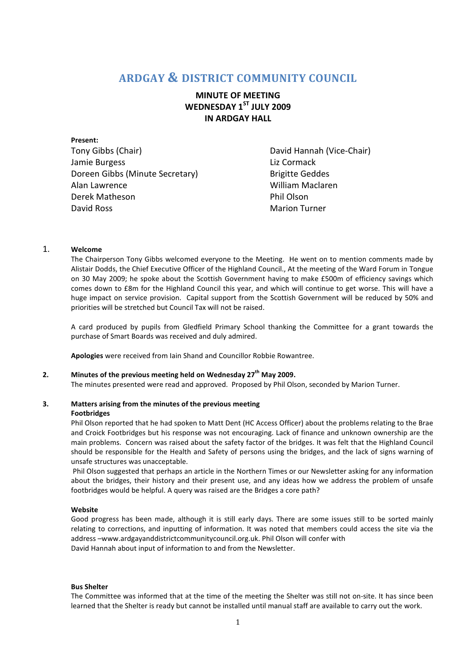## **ARDGAY & DISTRICT COMMUNITY COUNCIL**

**MINUTE OF MEETING WEDNESDAY 1ST JULY 2009 IN ARDGAY HALL** 

**Present:**  Tony Gibbs (Chair) **David Hannah (Vice-Chair)** David Hannah (Vice-Chair) Jamie Burgess **Liz Cormack** Doreen Gibbs (Minute Secretary) Brigitte Geddes Alan Lawrence William Maclaren Derek Matheson **Phil Olson** David Ross Marion Turner

## 1. **Welcome**

The Chairperson Tony Gibbs welcomed everyone to the Meeting. He went on to mention comments made by Alistair Dodds, the Chief Executive Officer of the Highland Council., At the meeting of the Ward Forum in Tongue on 30 May 2009; he spoke about the Scottish Government having to make £500m of efficiency savings which comes down to £8m for the Highland Council this year, and which will continue to get worse. This will have a huge impact on service provision. Capital support from the Scottish Government will be reduced by 50% and priorities will be stretched but Council Tax will not be raised.

A card produced by pupils from Gledfield Primary School thanking the Committee for a grant towards the purchase of Smart Boards was received and duly admired.

**Apologies** were received from Iain Shand and Councillor Robbie Rowantree.

## **2. Minutes of the previous meeting held on Wednesday 27 th May 2009.**

The minutes presented were read and approved. Proposed by Phil Olson, seconded by Marion Turner.

# **3. Matters arising from the minutes of the previous meeting**

#### **Footbridges**

Phil Olson reported that he had spoken to Matt Dent (HC Access Officer) about the problems relating to the Brae and Croick Footbridges but his response was not encouraging. Lack of finance and unknown ownership are the main problems. Concern was raised about the safety factor of the bridges. It was felt that the Highland Council should be responsible for the Health and Safety of persons using the bridges, and the lack of signs warning of unsafe structures was unacceptable.

Phil Olson suggested that perhaps an article in the Northern Times or our Newsletter asking for any information about the bridges, their history and their present use, and any ideas how we address the problem of unsafe footbridges would be helpful. A query was raised are the Bridges a core path?

#### **Website**

Good progress has been made, although it is still early days. There are some issues still to be sorted mainly relating to corrections, and inputting of information. It was noted that members could access the site via the address –www.ardgayanddistrictcommunitycouncil.org.uk. Phil Olson will confer with David Hannah about input of information to and from the Newsletter.

#### **Bus Shelter**

The Committee was informed that at the time of the meeting the Shelter was still not on-site. It has since been learned that the Shelter is ready but cannot be installed until manual staff are available to carry out the work.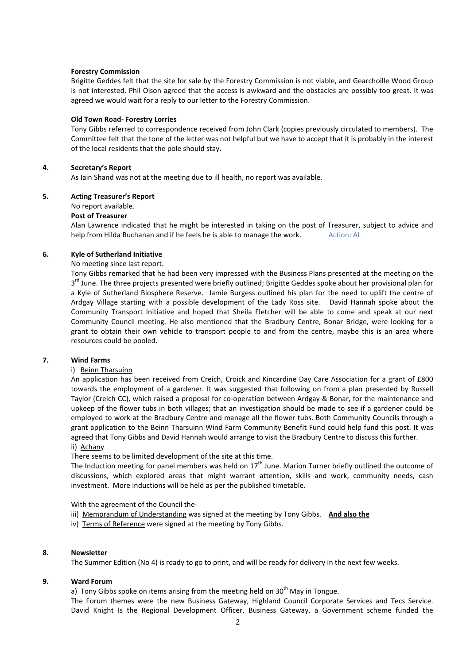#### **Forestry Commission**

Brigitte Geddes felt that the site for sale by the Forestry Commission is not viable, and Gearchoille Wood Group is not interested. Phil Olson agreed that the access is awkward and the obstacles are possibly too great. It was agreed we would wait for a reply to our letter to the Forestry Commission.

#### **Old Town Road- Forestry Lorries**

Tony Gibbs referred to correspondence received from John Clark (copies previously circulated to members). The Committee felt that the tone of the letter was not helpful but we have to accept that it is probably in the interest of the local residents that the pole should stay.

#### **4**. **Secretary's Report**

As Iain Shand was not at the meeting due to ill health, no report was available.

#### **5. Acting Treasurer's Report**

#### No report available.

#### **Post of Treasurer**

Alan Lawrence indicated that he might be interested in taking on the post of Treasurer, subject to advice and help from Hilda Buchanan and if he feels he is able to manage the work. Action: AL

#### **6. Kyle of Sutherland Initiative**

No meeting since last report.

Tony Gibbs remarked that he had been very impressed with the Business Plans presented at the meeting on the 3<sup>rd</sup> June. The three projects presented were briefly outlined; Brigitte Geddes spoke about her provisional plan for a Kyle of Sutherland Biosphere Reserve. Jamie Burgess outlined his plan for the need to uplift the centre of Ardgay Village starting with a possible development of the Lady Ross site. David Hannah spoke about the Community Transport Initiative and hoped that Sheila Fletcher will be able to come and speak at our next Community Council meeting. He also mentioned that the Bradbury Centre, Bonar Bridge, were looking for a grant to obtain their own vehicle to transport people to and from the centre, maybe this is an area where resources could be pooled.

#### **7. Wind Farms**

#### i) Beinn Tharsuinn

An application has been received from Creich, Croick and Kincardine Day Care Association for a grant of £800 towards the employment of a gardener. It was suggested that following on from a plan presented by Russell Taylor (Creich CC), which raised a proposal for co-operation between Ardgay & Bonar, for the maintenance and upkeep of the flower tubs in both villages; that an investigation should be made to see if a gardener could be employed to work at the Bradbury Centre and manage all the flower tubs. Both Community Councils through a grant application to the Beinn Tharsuinn Wind Farm Community Benefit Fund could help fund this post. It was agreed that Tony Gibbs and David Hannah would arrange to visit the Bradbury Centre to discuss this further. ii) Achany

There seems to be limited development of the site at this time.

The Induction meeting for panel members was held on  $17<sup>th</sup>$  June. Marion Turner briefly outlined the outcome of discussions, which explored areas that might warrant attention, skills and work, community needs, cash investment. More inductions will be held as per the published timetable.

With the agreement of the Council the-

- iii) Memorandum of Understanding was signed at the meeting by Tony Gibbs. **And also the**
- iv) Terms of Reference were signed at the meeting by Tony Gibbs.

#### **8. Newsletter**

The Summer Edition (No 4) is ready to go to print, and will be ready for delivery in the next few weeks.

#### **9. Ward Forum**

a) Tony Gibbs spoke on items arising from the meeting held on  $30<sup>th</sup>$  May in Tongue.

The Forum themes were the new Business Gateway, Highland Council Corporate Services and Tecs Service. David Knight Is the Regional Development Officer, Business Gateway, a Government scheme funded the